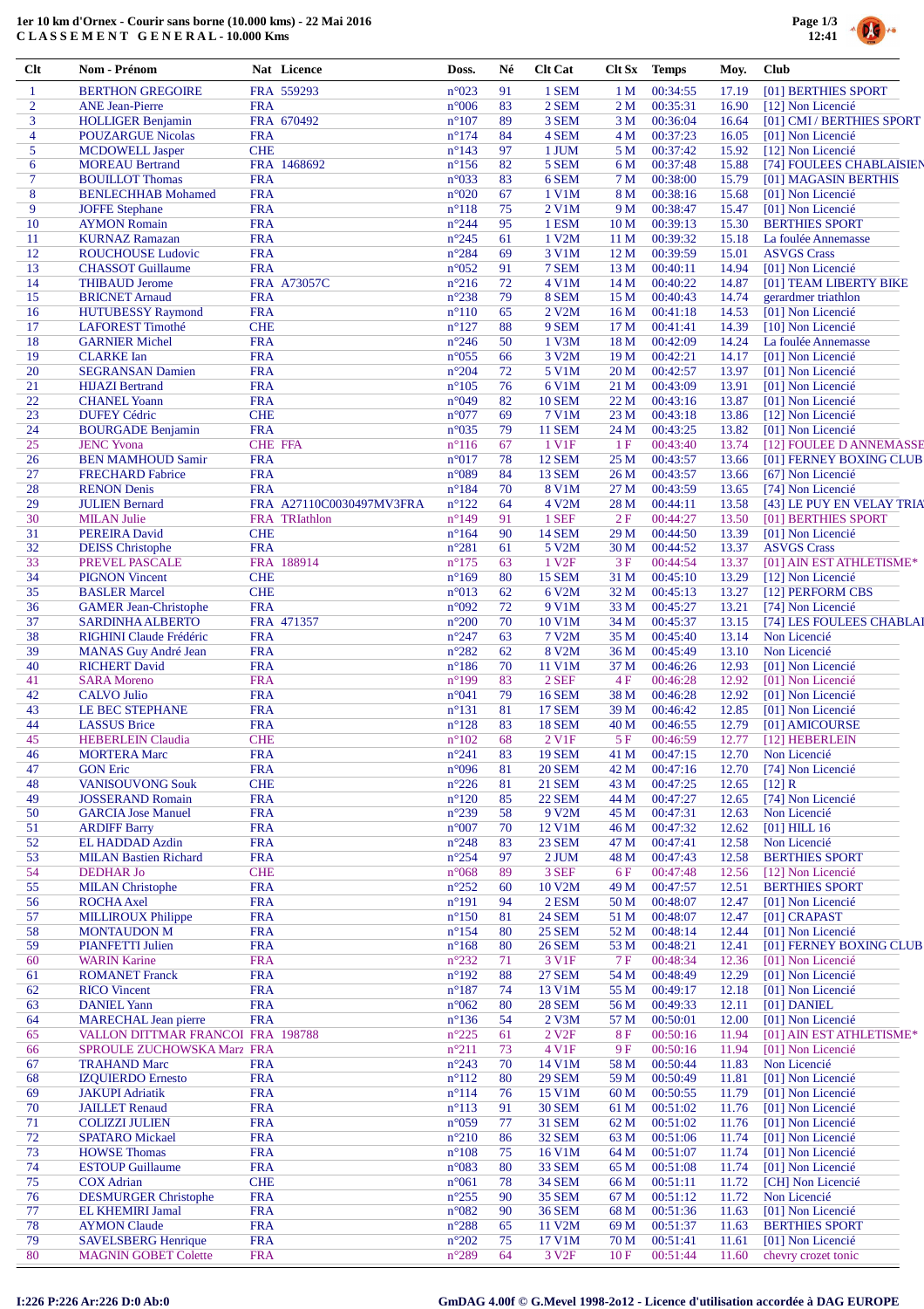## **1er 10 km d'Ornex - Courir sans borne (10.000 kms) - 22 Mai 2016 C L A S S E M E N T G E N E R A L - 10.000 Kms**



| $Cl$                | Nom - Prénom                                                     |                          | Nat Licence              | Doss.                             | Né       | <b>Clt Cat</b>              | Clt Sx                  | <b>Temps</b>              | Moy.           | <b>Club</b>                                      |
|---------------------|------------------------------------------------------------------|--------------------------|--------------------------|-----------------------------------|----------|-----------------------------|-------------------------|---------------------------|----------------|--------------------------------------------------|
| $\mathbf{1}$        | <b>BERTHON GREGOIRE</b>                                          |                          | FRA 559293               | n°023                             | 91       | 1 SEM                       | 1 <sub>M</sub>          | 00:34:55                  | 17.19          | [01] BERTHIES SPORT                              |
| $\overline{2}$      | <b>ANE</b> Jean-Pierre                                           | <b>FRA</b>               |                          | $n^{\circ}006$                    | 83       | 2 SEM                       | 2 <sub>M</sub>          | 00:35:31                  | 16.90          | [12] Non Licencié                                |
| 3                   | <b>HOLLIGER Benjamin</b>                                         |                          | FRA 670492               | $n^{\circ}107$                    | 89       | 3 SEM                       | 3 M                     | 00:36:04                  | 16.64          | [01] CMI / BERTHIES SPORT                        |
| $\overline{4}$<br>5 | <b>POUZARGUE Nicolas</b><br><b>MCDOWELL Jasper</b>               | <b>FRA</b><br><b>CHE</b> |                          | $n^{\circ}174$<br>$n^{\circ}143$  | 84<br>97 | 4 SEM<br>1 JUM              | 4 M<br>5 M              | 00:37:23<br>00:37:42      | 16.05<br>15.92 | [01] Non Licencié<br>[12] Non Licencié           |
| 6                   | <b>MOREAU Bertrand</b>                                           |                          | FRA 1468692              | $n^{\circ}156$                    | 82       | 5 SEM                       | 6 M                     | 00:37:48                  | 15.88          | [74] FOULEES CHABLAISIEN                         |
| $\overline{7}$      | <b>BOUILLOT</b> Thomas                                           | <b>FRA</b>               |                          | n°033                             | 83       | 6 SEM                       | 7 M                     | 00:38:00                  | 15.79          | [01] MAGASIN BERTHIS                             |
| 8                   | <b>BENLECHHAB Mohamed</b>                                        | <b>FRA</b>               |                          | $n^{\circ}020$                    | 67       | 1 V1M                       | 8 M                     | 00:38:16                  | 15.68          | [01] Non Licencié                                |
| 9                   | <b>JOFFE Stephane</b>                                            | <b>FRA</b>               |                          | $n^{\circ}118$                    | 75       | 2 V1M                       | 9 M                     | 00:38:47                  | 15.47          | [01] Non Licencié                                |
| 10                  | <b>AYMON Romain</b>                                              | <b>FRA</b>               |                          | $n^{\circ}244$                    | 95       | 1 ESM                       | 10 <sub>M</sub>         | 00:39:13                  | 15.30          | <b>BERTHIES SPORT</b>                            |
| 11<br>12            | <b>KURNAZ Ramazan</b><br><b>ROUCHOUSE Ludovic</b>                | <b>FRA</b><br><b>FRA</b> |                          | $n^{\circ}245$<br>$n^{\circ}284$  | 61<br>69 | 1 V2M<br>3 V1M              | 11 <sub>M</sub><br>12 M | 00:39:32<br>00:39:59      | 15.18<br>15.01 | La foulée Annemasse<br><b>ASVGS Crass</b>        |
| 13                  | <b>CHASSOT</b> Guillaume                                         | <b>FRA</b>               |                          | $n^{\circ}052$                    | 91       | 7 SEM                       | 13 M                    | 00:40:11                  | 14.94          | [01] Non Licencié                                |
| 14                  | <b>THIBAUD Jerome</b>                                            |                          | <b>FRA A73057C</b>       | $n^{\circ}216$                    | 72       | 4 V1M                       | 14 M                    | 00:40:22                  | 14.87          | [01] TEAM LIBERTY BIKE                           |
| 15                  | <b>BRICNET Arnaud</b>                                            | <b>FRA</b>               |                          | $n^{\circ}238$                    | 79       | 8 SEM                       | 15 M                    | 00:40:43                  | 14.74          | gerardmer triathlon                              |
| 16                  | <b>HUTUBESSY Raymond</b>                                         | <b>FRA</b>               |                          | $n^{\circ}110$                    | 65       | 2 V2M                       | 16 <sub>M</sub>         | 00:41:18                  | 14.53          | [01] Non Licencié                                |
| 17                  | LAFOREST Timothé                                                 | <b>CHE</b>               |                          | $n^{\circ}127$                    | 88       | 9 SEM                       | 17 <sub>M</sub>         | 00:41:41                  | 14.39          | [10] Non Licencié                                |
| 18                  | <b>GARNIER Michel</b>                                            | <b>FRA</b>               |                          | $n^{\circ}246$                    | 50       | 1 V3M                       | 18 M                    | 00:42:09                  | 14.24          | La foulée Annemasse                              |
| 19<br>20            | <b>CLARKE</b> Ian<br><b>SEGRANSAN Damien</b>                     | <b>FRA</b><br><b>FRA</b> |                          | $n^{\circ}055$<br>$n^{\circ}204$  | 66<br>72 | 3 V2M<br>5 V1M              | 19 M<br>20 M            | 00:42:21<br>00:42:57      | 14.17<br>13.97 | [01] Non Licencié<br>[01] Non Licencié           |
| 21                  | <b>HIJAZI</b> Bertrand                                           | <b>FRA</b>               |                          | $n^{\circ}105$                    | 76       | 6 V1M                       | 21 M                    | 00:43:09                  | 13.91          | [01] Non Licencié                                |
| 22                  | <b>CHANEL Yoann</b>                                              | <b>FRA</b>               |                          | n°049                             | 82       | <b>10 SEM</b>               | 22 M                    | 00:43:16                  | 13.87          | [01] Non Licencié                                |
| 23                  | <b>DUFEY Cédric</b>                                              | <b>CHE</b>               |                          | n°077                             | 69       | 7 V1M                       | 23 M                    | 00:43:18                  | 13.86          | [12] Non Licencié                                |
| 24                  | <b>BOURGADE Benjamin</b>                                         | <b>FRA</b>               |                          | $n^{\circ}035$                    | 79       | <b>11 SEM</b>               | 24 M                    | 00:43:25                  | 13.82          | [01] Non Licencié                                |
| 25                  | <b>JENC Yvona</b>                                                | <b>CHE FFA</b>           |                          | $n^{\circ}116$                    | 67       | 1 V <sub>1</sub> F          | 1F                      | 00:43:40                  | 13.74          | [12] FOULEE D ANNEMASSE                          |
| 26                  | <b>BEN MAMHOUD Samir</b>                                         | <b>FRA</b>               |                          | $n^{\circ}017$                    | 78       | <b>12 SEM</b>               | 25 M                    | 00:43:57                  | 13.66          | [01] FERNEY BOXING CLUB                          |
| 27                  | <b>FRECHARD Fabrice</b>                                          | <b>FRA</b>               |                          | n°089                             | 84       | <b>13 SEM</b>               | 26 M                    | 00:43:57                  | 13.66          | [67] Non Licencié                                |
| 28                  | <b>RENON Denis</b>                                               | <b>FRA</b>               | FRA A27110C0030497MV3FRA | $n^{\circ}184$                    | 70<br>64 | <b>8 V1M</b>                | 27 M                    | 00:43:59                  | 13.65          | [74] Non Licencié                                |
| 29<br>30            | <b>JULIEN Bernard</b><br><b>MILAN Julie</b>                      |                          | <b>FRA</b> TRIathlon     | $n^{\circ}122$<br>$n^{\circ}$ 149 | 91       | 4 V <sub>2</sub> M<br>1 SEF | 28 M<br>2F              | 00:44:11<br>00:44:27      | 13.58<br>13.50 | [43] LE PUY EN VELAY TRIA<br>[01] BERTHIES SPORT |
| 31                  | <b>PEREIRA</b> David                                             | <b>CHE</b>               |                          | $n^{\circ}164$                    | 90       | <b>14 SEM</b>               | 29 M                    | 00:44:50                  | 13.39          | [01] Non Licencié                                |
| 32                  | <b>DEISS</b> Christophe                                          | <b>FRA</b>               |                          | $n^{\circ}281$                    | 61       | 5 V2M                       | 30 M                    | 00:44:52                  | 13.37          | <b>ASVGS Crass</b>                               |
| 33                  | PREVEL PASCALE                                                   |                          | FRA 188914               | $n^{\circ}175$                    | 63       | 1 V <sub>2F</sub>           | 3F                      | 00:44:54                  | 13.37          | [01] AIN EST ATHLETISME*                         |
| 34                  | <b>PIGNON Vincent</b>                                            | <b>CHE</b>               |                          | $n^{\circ}169$                    | 80       | <b>15 SEM</b>               | 31 M                    | 00:45:10                  | 13.29          | [12] Non Licencié                                |
| 35                  | <b>BASLER Marcel</b>                                             | <b>CHE</b>               |                          | n°013                             | 62       | 6 V2M                       | 32 M                    | 00:45:13                  | 13.27          | [12] PERFORM CBS                                 |
| 36                  | <b>GAMER Jean-Christophe</b>                                     | <b>FRA</b>               |                          | n°092                             | 72       | 9 V1M                       | 33 M                    | 00:45:27                  | 13.21          | [74] Non Licencié                                |
| 37<br>38            | <b>SARDINHA ALBERTO</b>                                          | <b>FRA</b>               | FRA 471357               | $n^{\circ}200$                    | 70       | 10 V1M                      | 34 M                    | 00:45:37                  | 13.15          | [74] LES FOULEES CHABLAI                         |
| 39                  | RIGHINI Claude Frédéric<br><b>MANAS</b> Guy André Jean           | <b>FRA</b>               |                          | $n^{\circ}247$<br>$n^{\circ}282$  | 63<br>62 | 7 V2M<br>8 V2M              | 35 M<br>36 M            | 00:45:40<br>00:45:49      | 13.14<br>13.10 | Non Licencié<br>Non Licencié                     |
| 40                  | <b>RICHERT David</b>                                             | <b>FRA</b>               |                          | $n^{\circ}186$                    | 70       | 11 V1M                      | 37 M                    | 00:46:26                  | 12.93          | [01] Non Licencié                                |
| 41                  | <b>SARA Moreno</b>                                               | <b>FRA</b>               |                          | $n^{\circ}199$                    | 83       | 2 SEF                       | 4 F                     | 00:46:28                  | 12.92          | [01] Non Licencié                                |
| 42                  | <b>CALVO Julio</b>                                               | <b>FRA</b>               |                          | n°041                             | 79       | <b>16 SEM</b>               | 38 M                    | 00:46:28                  | 12.92          | [01] Non Licencié                                |
| 43                  | LE BEC STEPHANE                                                  | <b>FRA</b>               |                          | $n^{\circ}131$                    | 81       | <b>17 SEM</b>               | 39 M                    | 00:46:42                  | 12.85          | [01] Non Licencié                                |
| 44                  | <b>LASSUS Brice</b>                                              | <b>FRA</b>               |                          | $n^{\circ}128$                    | 83       | <b>18 SEM</b>               | 40 M                    | 00:46:55                  | 12.79          | [01] AMICOURSE                                   |
| 45                  | <b>HEBERLEIN Claudia</b>                                         | <b>CHE</b>               |                          | $n^{\circ}102$                    | 68       | 2 V1F                       | 5F                      | 00:46:59                  | 12.77          | [12] HEBERLEIN                                   |
| 46<br>47            | <b>MORTERA Marc</b><br><b>GON Eric</b>                           | <b>FRA</b><br><b>FRA</b> |                          | $n^{\circ}241$<br>$n^{\circ}096$  | 83<br>81 | 19 SEM<br><b>20 SEM</b>     | 42 M                    | 41 M 00:47:15<br>00:47:16 | 12.70          | 12.70 Non Licencié<br>[74] Non Licencié          |
| 48                  | <b>VANISOUVONG Souk</b>                                          | <b>CHE</b>               |                          | $n^{\circ}226$                    | 81       | <b>21 SEM</b>               | 43 M                    | 00:47:25                  | 12.65          | $[12]$ R                                         |
| 49                  | <b>JOSSERAND Romain</b>                                          | <b>FRA</b>               |                          | $n^{\circ}120$                    | 85       | <b>22 SEM</b>               | 44 M                    | 00:47:27                  | 12.65          | [74] Non Licencié                                |
| 50                  | <b>GARCIA Jose Manuel</b>                                        | <b>FRA</b>               |                          | $n^{\circ}239$                    | 58       | 9 V <sub>2</sub> M          | 45 M                    | 00:47:31                  | 12.63          | Non Licencié                                     |
| 51                  | <b>ARDIFF Barry</b>                                              | <b>FRA</b>               |                          | $n^{\circ}007$                    | 70       | 12 V1M                      | 46 M                    | 00:47:32                  | 12.62          | $[01]$ HILL 16                                   |
| 52                  | EL HADDAD Azdin                                                  | <b>FRA</b>               |                          | $n^{\circ}248$                    | 83       | 23 SEM                      | 47 M                    | 00:47:41                  | 12.58          | Non Licencié                                     |
| 53                  | <b>MILAN Bastien Richard</b>                                     | <b>FRA</b>               |                          | $n^{\circ}254$                    | 97       | 2 JUM                       | 48 M                    | 00:47:43                  | 12.58          | <b>BERTHIES SPORT</b>                            |
| 54                  | <b>DEDHAR Jo</b>                                                 | <b>CHE</b>               |                          | $n^{\circ}068$                    | 89       | 3 SEF                       | 6 F                     | 00:47:48                  | 12.56          | [12] Non Licencié                                |
| 55<br>56            | <b>MILAN</b> Christophe<br><b>ROCHA</b> Axel                     | <b>FRA</b><br><b>FRA</b> |                          | $n^{\circ}252$<br>$n^{\circ}191$  | 60<br>94 | 10 V2M<br>2 ESM             | 49 M<br>50 M            | 00:47:57<br>00:48:07      | 12.51<br>12.47 | <b>BERTHIES SPORT</b><br>[01] Non Licencié       |
| 57                  | <b>MILLIROUX Philippe</b>                                        | <b>FRA</b>               |                          | $n^{\circ}150$                    | 81       | <b>24 SEM</b>               | 51 M                    | 00:48:07                  | 12.47          | [01] CRAPAST                                     |
| 58                  | <b>MONTAUDON M</b>                                               | <b>FRA</b>               |                          | $n^{\circ}154$                    | 80       | <b>25 SEM</b>               | 52 M                    | 00:48:14                  | 12.44          | [01] Non Licencié                                |
| 59                  | <b>PIANFETTI Julien</b>                                          | <b>FRA</b>               |                          | $\rm n^o168$                      | 80       | <b>26 SEM</b>               | 53 M                    | 00:48:21                  | 12.41          | [01] FERNEY BOXING CLUB                          |
| 60                  | <b>WARIN Karine</b>                                              | <b>FRA</b>               |                          | $n^{\circ}232$                    | 71       | 3 V1F                       | 7 F                     | 00:48:34                  | 12.36          | [01] Non Licencié                                |
| 61                  | <b>ROMANET Franck</b>                                            | <b>FRA</b>               |                          | $n^{\circ}192$                    | 88       | <b>27 SEM</b>               | 54 M                    | 00:48:49                  | 12.29          | [01] Non Licencié                                |
| 62                  | <b>RICO</b> Vincent                                              | <b>FRA</b>               |                          | $n^{\circ}187$                    | 74       | 13 V1M                      | 55 M                    | 00:49:17                  | 12.18          | [01] Non Licencié                                |
| 63                  | <b>DANIEL Yann</b>                                               | <b>FRA</b>               |                          | $n^{\circ}062$                    | 80       | <b>28 SEM</b>               | 56 M                    | 00:49:33                  | 12.11          | [01] DANIEL                                      |
| 64<br>65            | <b>MARECHAL Jean pierre</b><br>VALLON DITTMAR FRANCOI FRA 198788 | <b>FRA</b>               |                          | $n^{\circ}136$<br>$n^{\circ}225$  | 54<br>61 | 2 V3M<br>2 V <sub>2F</sub>  | 57 M                    | 00:50:01<br>00:50:16      | 12.00          | [01] Non Licencié<br>[01] AIN EST ATHLETISME*    |
| 66                  | SPROULE ZUCHOWSKA Marz FRA                                       |                          |                          | $n^{\circ}211$                    | 73       | 4 V1F                       | 8F<br>9 F               | 00:50:16                  | 11.94<br>11.94 | [01] Non Licencié                                |
| 67                  | <b>TRAHAND Marc</b>                                              | <b>FRA</b>               |                          | $n^{\circ}243$                    | 70       | 14 V1M                      | 58 M                    | 00:50:44                  | 11.83          | Non Licencié                                     |
| 68                  | <b>IZQUIERDO</b> Ernesto                                         | <b>FRA</b>               |                          | $n^{\circ}112$                    | 80       | <b>29 SEM</b>               | 59 M                    | 00:50:49                  | 11.81          | [01] Non Licencié                                |
| 69                  | <b>JAKUPI Adriatik</b>                                           | <b>FRA</b>               |                          | $n^{\circ}114$                    | 76       | 15 V1M                      | 60 M                    | 00:50:55                  | 11.79          | [01] Non Licencié                                |
| 70                  | <b>JAILLET</b> Renaud                                            | <b>FRA</b>               |                          | $n^{\circ}113$                    | 91       | <b>30 SEM</b>               | 61 M                    | 00:51:02                  | 11.76          | [01] Non Licencié                                |
| 71                  | <b>COLIZZI JULIEN</b>                                            | <b>FRA</b>               |                          | n°059                             | 77       | <b>31 SEM</b>               | 62 M                    | 00:51:02                  | 11.76          | [01] Non Licencié                                |
| 72                  | <b>SPATARO</b> Mickael                                           | <b>FRA</b>               |                          | $n^{\circ}210$                    | 86       | <b>32 SEM</b>               | 63 M                    | 00:51:06                  | 11.74          | [01] Non Licencié                                |
| 73<br>74            | <b>HOWSE Thomas</b><br><b>ESTOUP Guillaume</b>                   | <b>FRA</b><br><b>FRA</b> |                          | $n^{\circ}108$                    | 75<br>80 | 16 V1M<br>33 SEM            | 64 M                    | 00:51:07<br>00:51:08      | 11.74<br>11.74 | [01] Non Licencié<br>[01] Non Licencié           |
| 75                  | <b>COX</b> Adrian                                                | <b>CHE</b>               |                          | $n^{\circ}083$<br>$n^{\circ}061$  | 78       | <b>34 SEM</b>               | 65 M<br>66 M            | 00:51:11                  | 11.72          | [CH] Non Licencié                                |
| 76                  | <b>DESMURGER Christophe</b>                                      | <b>FRA</b>               |                          | $n^{\circ}255$                    | 90       | <b>35 SEM</b>               | 67 M                    | 00:51:12                  | 11.72          | Non Licencié                                     |
| 77                  | <b>EL KHEMIRI Jamal</b>                                          | <b>FRA</b>               |                          | $n^{\circ}082$                    | 90       | <b>36 SEM</b>               | 68 M                    | 00:51:36                  | 11.63          | [01] Non Licencié                                |
| 78                  | <b>AYMON Claude</b>                                              | <b>FRA</b>               |                          | $n^{\circ}288$                    | 65       | 11 V2M                      | 69 M                    | 00:51:37                  | 11.63          | <b>BERTHIES SPORT</b>                            |
| 79                  | <b>SAVELSBERG Henrique</b>                                       | <b>FRA</b>               |                          | $n^{\circ}202$                    | 75       | 17 V1M                      | 70 M                    | 00:51:41                  | 11.61          | [01] Non Licencié                                |
| 80                  | <b>MAGNIN GOBET Colette</b>                                      | <b>FRA</b>               |                          | $n^{\circ}289$                    | 64       | 3 V <sub>2F</sub>           | 10F                     | 00:51:44                  | 11.60          | chevry crozet tonic                              |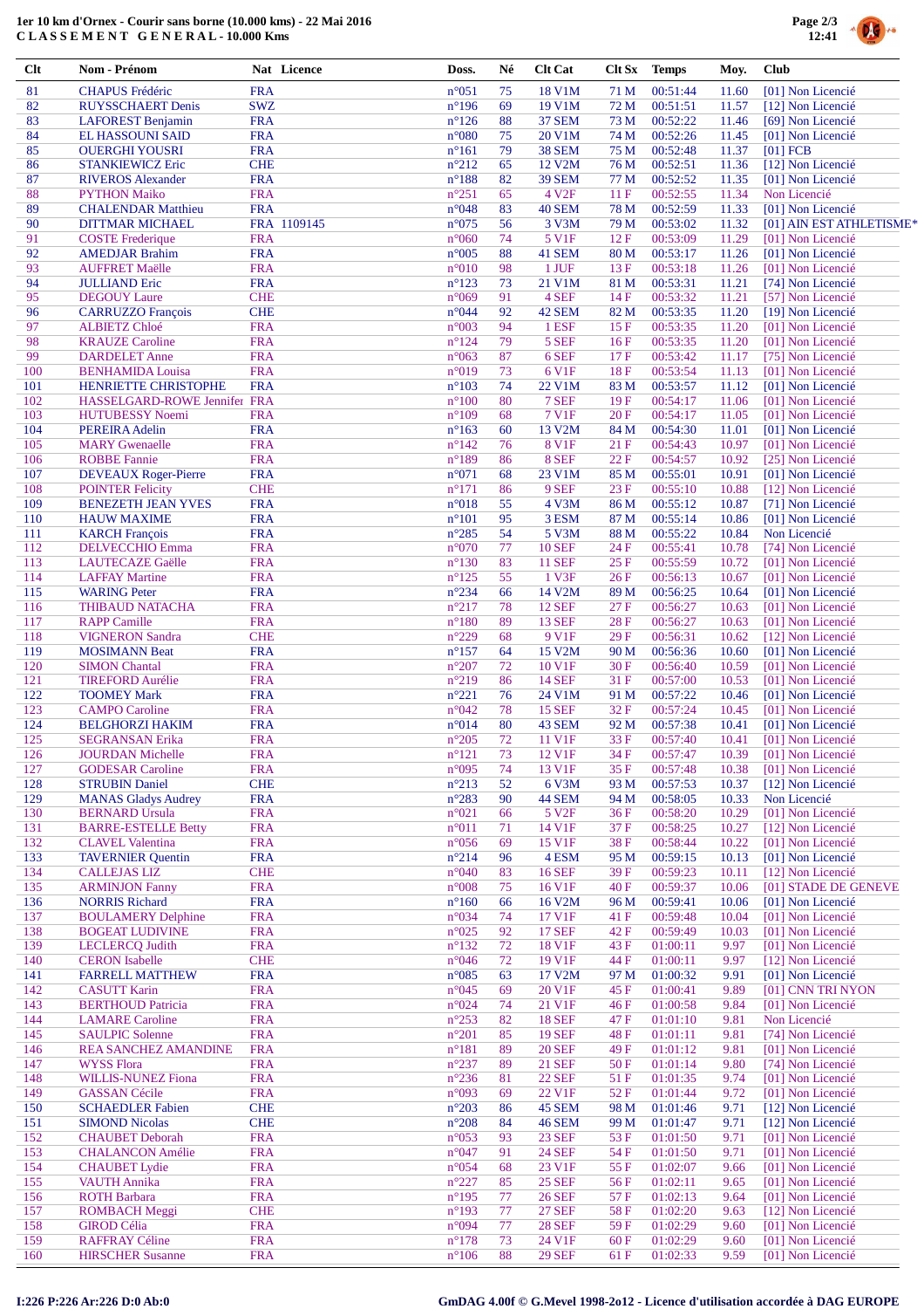## **1er 10 km d'Ornex - Courir sans borne (10.000 kms) - 22 Mai 2016 C L A S S E M E N T G E N E R A L - 10.000 Kms**



| Clt        | Nom - Prénom                                      | Nat Licence               | Doss.                            | Né       | <b>Clt Cat</b>                 | Clt Sx       | <b>Temps</b>         | Moy.           | <b>Club</b> |                                               |
|------------|---------------------------------------------------|---------------------------|----------------------------------|----------|--------------------------------|--------------|----------------------|----------------|-------------|-----------------------------------------------|
| 81         | <b>CHAPUS Frédéric</b>                            | <b>FRA</b>                | $n^{\circ}051$                   | 75       | 18 V1M                         | 71 M         | 00:51:44             | 11.60          |             | [01] Non Licencié                             |
| 82         | <b>RUYSSCHAERT Denis</b>                          | <b>SWZ</b>                | $n^{\circ}196$                   | 69       | 19 V1M                         | 72 M         | 00:51:51             | 11.57          |             | [12] Non Licencié                             |
| 83         | LAFOREST Benjamin                                 | <b>FRA</b>                | $n^{\circ}126$                   | 88       | <b>37 SEM</b>                  | 73 M         | 00:52:22             | 11.46          |             | [69] Non Licencié                             |
| 84         | <b>EL HASSOUNI SAID</b>                           | <b>FRA</b>                | $n^{\circ}080$                   | 75       | 20 V1M                         | 74 M         | 00:52:26             | 11.45          |             | [01] Non Licencié                             |
| 85         | <b>OUERGHI YOUSRI</b>                             | <b>FRA</b>                | $n^{\circ}161$                   | 79       | <b>38 SEM</b>                  | 75 M         | 00:52:48             | 11.37          | $[01]$ FCB  |                                               |
| 86         | <b>STANKIEWICZ Eric</b>                           | <b>CHE</b>                | $n^{\circ}212$                   | 65       | 12 V2M                         | 76 M         | 00:52:51             | 11.36          |             | [12] Non Licencié                             |
| 87         | <b>RIVEROS Alexander</b>                          | <b>FRA</b>                | $n^{\circ}188$                   | 82       | <b>39 SEM</b>                  | 77 M         | 00:52:52             | 11.35          |             | [01] Non Licencié                             |
| 88         | <b>PYTHON Maiko</b>                               | <b>FRA</b>                | $n^{\circ}251$                   | 65       | 4 V <sub>2F</sub>              | 11F          | 00:52:55             | 11.34          |             | Non Licencié                                  |
| 89<br>90   | <b>CHALENDAR Matthieu</b>                         | <b>FRA</b><br>FRA 1109145 | $n^{\circ}048$<br>$n^{\circ}075$ | 83<br>56 | 40 SEM<br>3 V3M                | 78 M         | 00:52:59<br>00:53:02 | 11.33          |             | [01] Non Licencié<br>[01] AIN EST ATHLETISME* |
| 91         | <b>DITTMAR MICHAEL</b><br><b>COSTE</b> Frederique | <b>FRA</b>                | $n^{\circ}060$                   | 74       | 5 V1F                          | 79 M<br>12F  | 00:53:09             | 11.32<br>11.29 |             | [01] Non Licencié                             |
| 92         | <b>AMEDJAR Brahim</b>                             | <b>FRA</b>                | $n^{\circ}005$                   | 88       | 41 SEM                         | 80 M         | 00:53:17             | 11.26          |             | [01] Non Licencié                             |
| 93         | <b>AUFFRET Maëlle</b>                             | <b>FRA</b>                | $n^{\circ}010$                   | 98       | 1 JUF                          | 13F          | 00:53:18             | 11.26          |             | [01] Non Licencié                             |
| 94         | <b>JULLIAND Eric</b>                              | <b>FRA</b>                | $n^{\circ}123$                   | 73       | 21 V1M                         | 81 M         | 00:53:31             | 11.21          |             | [74] Non Licencié                             |
| 95         | <b>DEGOUY Laure</b>                               | <b>CHE</b>                | $n^{\circ}069$                   | 91       | 4 SEF                          | 14F          | 00:53:32             | 11.21          |             | [57] Non Licencié                             |
| 96         | <b>CARRUZZO François</b>                          | <b>CHE</b>                | $n^{\circ}044$                   | 92       | 42 SEM                         | 82 M         | 00:53:35             | 11.20          |             | [19] Non Licencié                             |
| 97         | <b>ALBIETZ Chloé</b>                              | <b>FRA</b>                | $n^{\circ}003$                   | 94       | 1 ESF                          | 15F          | 00:53:35             | 11.20          |             | [01] Non Licencié                             |
| 98         | <b>KRAUZE</b> Caroline                            | <b>FRA</b>                | $n^{\circ}124$                   | 79       | 5 SEF                          | 16F          | 00:53:35             | 11.20          |             | [01] Non Licencié                             |
| 99         | <b>DARDELET</b> Anne                              | <b>FRA</b>                | $n^{\circ}063$                   | 87       | 6 SEF                          | 17F          | 00:53:42             | 11.17          |             | [75] Non Licencié                             |
| 100        | <b>BENHAMIDA Louisa</b>                           | <b>FRA</b>                | n°019                            | 73       | 6 V1F                          | 18F          | 00:53:54             | 11.13          |             | [01] Non Licencié                             |
| 101        | <b>HENRIETTE CHRISTOPHE</b>                       | <b>FRA</b>                | $n^{\circ}103$                   | 74       | 22 V1M                         | 83 M         | 00:53:57             | 11.12          |             | [01] Non Licencié                             |
| 102        | HASSELGARD-ROWE Jennifer FRA                      |                           | $n^{\circ}100$                   | 80       | 7 SEF                          | 19F          | 00:54:17             | 11.06          |             | [01] Non Licencié                             |
| 103        | <b>HUTUBESSY Noemi</b>                            | <b>FRA</b>                | $n^{\circ}109$                   | 68       | <b>7 V1F</b>                   | 20F          | 00:54:17             | 11.05          |             | [01] Non Licencié                             |
| 104        | PEREIRA Adelin<br><b>MARY Gwenaelle</b>           | <b>FRA</b>                | $n^{\circ}163$                   | 60<br>76 | 13 V2M<br><b>8 V1F</b>         | 84 M         | 00:54:30<br>00:54:43 | 11.01          |             | [01] Non Licencié                             |
| 105<br>106 | <b>ROBBE Fannie</b>                               | <b>FRA</b><br><b>FRA</b>  | $n^{\circ}142$<br>$n^{\circ}189$ | 86       | 8 SEF                          | 21F<br>22F   | 00:54:57             | 10.97<br>10.92 |             | [01] Non Licencié                             |
| 107        | <b>DEVEAUX Roger-Pierre</b>                       | <b>FRA</b>                | $n^{\circ}071$                   | 68       | 23 V1M                         | 85 M         | 00:55:01             | 10.91          |             | [25] Non Licencié<br>[01] Non Licencié        |
| 108        | <b>POINTER Felicity</b>                           | <b>CHE</b>                | $n^{\circ}171$                   | 86       | 9 SEF                          | 23F          | 00:55:10             | 10.88          |             | [12] Non Licencié                             |
| 109        | <b>BENEZETH JEAN YVES</b>                         | <b>FRA</b>                | $n^{\circ}018$                   | 55       | 4 V3M                          | 86 M         | 00:55:12             | 10.87          |             | [71] Non Licencié                             |
| 110        | <b>HAUW MAXIME</b>                                | <b>FRA</b>                | $n^{\circ}101$                   | 95       | 3 ESM                          | 87 M         | 00:55:14             | 10.86          |             | [01] Non Licencié                             |
| 111        | <b>KARCH</b> François                             | <b>FRA</b>                | $n^{\circ}285$                   | 54       | 5 V3M                          | 88 M         | 00:55:22             | 10.84          |             | Non Licencié                                  |
| 112        | <b>DELVECCHIO Emma</b>                            | <b>FRA</b>                | $n^{\circ}070$                   | 77       | <b>10 SEF</b>                  | 24 F         | 00:55:41             | 10.78          |             | [74] Non Licencié                             |
| 113        | <b>LAUTECAZE Gaëlle</b>                           | <b>FRA</b>                | $n^{\circ}130$                   | 83       | <b>11 SEF</b>                  | 25F          | 00:55:59             | 10.72          |             | [01] Non Licencié                             |
| 114        | <b>LAFFAY Martine</b>                             | <b>FRA</b>                | $n^{\circ}125$                   | 55       | 1 V3F                          | 26F          | 00:56:13             | 10.67          |             | [01] Non Licencié                             |
| 115        | <b>WARING Peter</b>                               | <b>FRA</b>                | $n^{\circ}234$                   | 66       | 14 V2M                         | 89 M         | 00:56:25             | 10.64          |             | [01] Non Licencié                             |
| 116        | THIBAUD NATACHA                                   | <b>FRA</b>                | $n^{\circ}217$                   | 78       | <b>12 SEF</b>                  | 27 F         | 00:56:27             | 10.63          |             | [01] Non Licencié                             |
| 117        | <b>RAPP Camille</b>                               | <b>FRA</b>                | $n^{\circ}180$                   | 89       | <b>13 SEF</b>                  | 28F          | 00:56:27             | 10.63          |             | [01] Non Licencié                             |
| 118        | <b>VIGNERON Sandra</b>                            | <b>CHE</b>                | $n^{\circ}229$                   | 68       | 9 V1F                          | 29F          | 00:56:31             | 10.62          |             | [12] Non Licencié                             |
| 119        | <b>MOSIMANN Beat</b>                              | <b>FRA</b>                | $n^{\circ}157$                   | 64       | 15 V2M                         | 90 M         | 00:56:36             | 10.60          |             | [01] Non Licencié                             |
| 120        | <b>SIMON Chantal</b>                              | <b>FRA</b>                | $n^{\circ}207$                   | 72       | 10 V1F                         | 30F          | 00:56:40             | 10.59          |             | [01] Non Licencié                             |
| 121<br>122 | <b>TIREFORD Aurélie</b><br><b>TOOMEY Mark</b>     | <b>FRA</b><br><b>FRA</b>  | $n^{\circ}219$<br>$n^{\circ}221$ | 86<br>76 | <b>14 SEF</b><br>24 V1M        | 31 F         | 00:57:00<br>00:57:22 | 10.53<br>10.46 |             | [01] Non Licencié<br>[01] Non Licencié        |
| 123        | <b>CAMPO</b> Caroline                             | <b>FRA</b>                | $n^{\circ}042$                   | 78       | <b>15 SEF</b>                  | 91 M<br>32F  | 00:57:24             | 10.45          |             | [01] Non Licencié                             |
| 124        | <b>BELGHORZI HAKIM</b>                            | <b>FRA</b>                | $n^{\circ}014$                   | 80       | 43 SEM                         | 92 M         | 00:57:38             | 10.41          |             | [01] Non Licencié                             |
| 125        | <b>SEGRANSAN Erika</b>                            | <b>FRA</b>                | $n^{\circ}205$                   | 72       | 11 V1F                         | 33 F         | 00:57:40             | 10.41          |             | [01] Non Licencié                             |
| 126        | <b>JOURDAN Michelle</b>                           | <b>FRA</b>                | $n^{\circ}121$                   | 73       | 12 V1F                         | 34 F         | 00:57:47             |                |             | 10.39 [01] Non Licencié                       |
| 127        | <b>GODESAR Caroline</b>                           | <b>FRA</b>                | n°095                            | 74       | 13 V1F                         | 35F          | 00:57:48             | 10.38          |             | [01] Non Licencié                             |
| 128        | <b>STRUBIN Daniel</b>                             | <b>CHE</b>                | $n^{\circ}213$                   | 52       | 6 V3M                          | 93 M         | 00:57:53             | 10.37          |             | [12] Non Licencié                             |
| 129        | <b>MANAS Gladys Audrey</b>                        | <b>FRA</b>                | $n^{\circ}283$                   | 90       | 44 SEM                         | 94 M         | 00:58:05             | 10.33          |             | Non Licencié                                  |
| 130        | <b>BERNARD Ursula</b>                             | <b>FRA</b>                | $n^{\circ}021$                   | 66       | 5 V <sub>2F</sub>              | 36 F         | 00:58:20             | 10.29          |             | [01] Non Licencié                             |
| 131        | <b>BARRE-ESTELLE Betty</b>                        | <b>FRA</b>                | $n^{\circ}011$                   | 71       | 14 V1F                         | 37 F         | 00:58:25             | 10.27          |             | [12] Non Licencié                             |
| 132        | <b>CLAVEL Valentina</b>                           | <b>FRA</b>                | $n^{\circ}056$                   | 69       | 15 V1F                         | 38F          | 00:58:44             | 10.22          |             | [01] Non Licencié                             |
| 133        | <b>TAVERNIER Quentin</b>                          | <b>FRA</b>                | $n^{\circ}214$                   | 96       | 4 ESM                          | 95 M         | 00:59:15             | 10.13          |             | [01] Non Licencié                             |
| 134        | <b>CALLEJAS LIZ</b>                               | <b>CHE</b>                | $n^{\circ}040$                   | 83       | <b>16 SEF</b>                  | 39F          | 00:59:23             | 10.11          |             | [12] Non Licencié                             |
| 135<br>136 | <b>ARMINJON Fanny</b><br><b>NORRIS Richard</b>    | <b>FRA</b><br><b>FRA</b>  | $n^{\circ}008$<br>$n^{\circ}160$ | 75<br>66 | 16 V1F<br>16 V2M               | 40 F         | 00:59:37<br>00:59:41 | 10.06<br>10.06 |             | [01] STADE DE GENEVE<br>[01] Non Licencié     |
| 137        | <b>BOULAMERY Delphine</b>                         | <b>FRA</b>                | n°034                            | 74       | 17 V1F                         | 96 M<br>41 F | 00:59:48             | 10.04          |             | [01] Non Licencié                             |
| 138        | <b>BOGEAT LUDIVINE</b>                            | <b>FRA</b>                | $n^{\circ}025$                   | 92       | <b>17 SEF</b>                  | 42 F         | 00:59:49             | 10.03          |             | [01] Non Licencié                             |
| 139        | <b>LECLERCQ Judith</b>                            | <b>FRA</b>                | $n^{\circ}132$                   | 72       | 18 V1F                         | 43 F         | 01:00:11             | 9.97           |             | [01] Non Licencié                             |
| 140        | <b>CERON</b> Isabelle                             | <b>CHE</b>                | $n^{\circ}046$                   | 72       | 19 V1F                         | 44 F         | 01:00:11             | 9.97           |             | [12] Non Licencié                             |
| 141        | <b>FARRELL MATTHEW</b>                            | <b>FRA</b>                | $n^{\circ}085$                   | 63       | 17 V2M                         | 97 M         | 01:00:32             | 9.91           |             | [01] Non Licencié                             |
| 142        | <b>CASUTT Karin</b>                               | <b>FRA</b>                | $n^{\circ}045$                   | 69       | 20 V1F                         | 45 F         | 01:00:41             | 9.89           |             | [01] CNN TRI NYON                             |
| 143        | <b>BERTHOUD Patricia</b>                          | <b>FRA</b>                | $n^{\circ}024$                   | 74       | 21 V1F                         | 46F          | 01:00:58             | 9.84           |             | [01] Non Licencié                             |
| 144        | <b>LAMARE</b> Caroline                            | <b>FRA</b>                | $n^{\circ}253$                   | 82       | <b>18 SEF</b>                  | 47 F         | 01:01:10             | 9.81           |             | Non Licencié                                  |
| 145        | <b>SAULPIC Solenne</b>                            | <b>FRA</b>                | $n^{\circ}201$                   | 85       | <b>19 SEF</b>                  | 48F          | 01:01:11             | 9.81           |             | [74] Non Licencié                             |
| 146        | <b>REA SANCHEZ AMANDINE</b>                       | <b>FRA</b>                | $n^{\circ}181$                   | 89       | <b>20 SEF</b>                  | 49F          | 01:01:12             | 9.81           |             | [01] Non Licencié                             |
| 147        | <b>WYSS Flora</b>                                 | <b>FRA</b>                | $n^{\circ}237$                   | 89       | <b>21 SEF</b>                  | 50F          | 01:01:14             | 9.80           |             | [74] Non Licencié                             |
| 148        | <b>WILLIS-NUNEZ Fiona</b>                         | <b>FRA</b>                | $n^{\circ}236$                   | 81       | <b>22 SEF</b>                  | 51 F         | 01:01:35             | 9.74           |             | [01] Non Licencié                             |
| 149        | <b>GASSAN Cécile</b>                              | <b>FRA</b>                | n°093                            | 69       | 22 V1F                         | 52 F         | 01:01:44             | 9.72           |             | [01] Non Licencié                             |
| 150        | <b>SCHAEDLER Fabien</b>                           | <b>CHE</b>                | $n^{\circ}203$                   | 86       | 45 SEM                         | 98 M         | 01:01:46             | 9.71           |             | [12] Non Licencié                             |
| 151        | <b>SIMOND Nicolas</b>                             | <b>CHE</b>                | $n^{\circ}208$                   | 84       | <b>46 SEM</b>                  | 99 M         | 01:01:47             | 9.71           |             | [12] Non Licencié                             |
| 152<br>153 | <b>CHAUBET Deborah</b><br><b>CHALANCON</b> Amélie | <b>FRA</b><br><b>FRA</b>  | $n^{\circ}053$<br>$n^{\circ}047$ | 93<br>91 | <b>23 SEF</b><br><b>24 SEF</b> | 53 F<br>54 F | 01:01:50<br>01:01:50 | 9.71<br>9.71   |             | [01] Non Licencié<br>[01] Non Licencié        |
| 154        | <b>CHAUBET</b> Lydie                              | <b>FRA</b>                | $n^{\circ}054$                   | 68       | 23 V1F                         | 55F          | 01:02:07             | 9.66           |             | [01] Non Licencié                             |
| 155        | <b>VAUTH Annika</b>                               | <b>FRA</b>                | $n^{\circ}227$                   | 85       | <b>25 SEF</b>                  | 56 F         | 01:02:11             | 9.65           |             | [01] Non Licencié                             |
| 156        | <b>ROTH Barbara</b>                               | <b>FRA</b>                | $n^{\circ}195$                   | 77       | <b>26 SEF</b>                  | 57 F         | 01:02:13             | 9.64           |             | [01] Non Licencié                             |
| 157        | <b>ROMBACH</b> Meggi                              | <b>CHE</b>                | $n^{\circ}193$                   | 77       | <b>27 SEF</b>                  | 58F          | 01:02:20             | 9.63           |             | [12] Non Licencié                             |
| 158        | <b>GIROD Célia</b>                                | <b>FRA</b>                | n°094                            | 77       | <b>28 SEF</b>                  | 59 F         | 01:02:29             | 9.60           |             | [01] Non Licencié                             |
| 159        | <b>RAFFRAY Céline</b>                             | <b>FRA</b>                | $n^{\circ}178$                   | 73       | 24 V1F                         | 60F          | 01:02:29             | 9.60           |             | [01] Non Licencié                             |
| 160        | <b>HIRSCHER Susanne</b>                           | <b>FRA</b>                | $n^{\circ}106$                   | 88       | <b>29 SEF</b>                  | 61 F         | 01:02:33             | 9.59           |             | [01] Non Licencié                             |